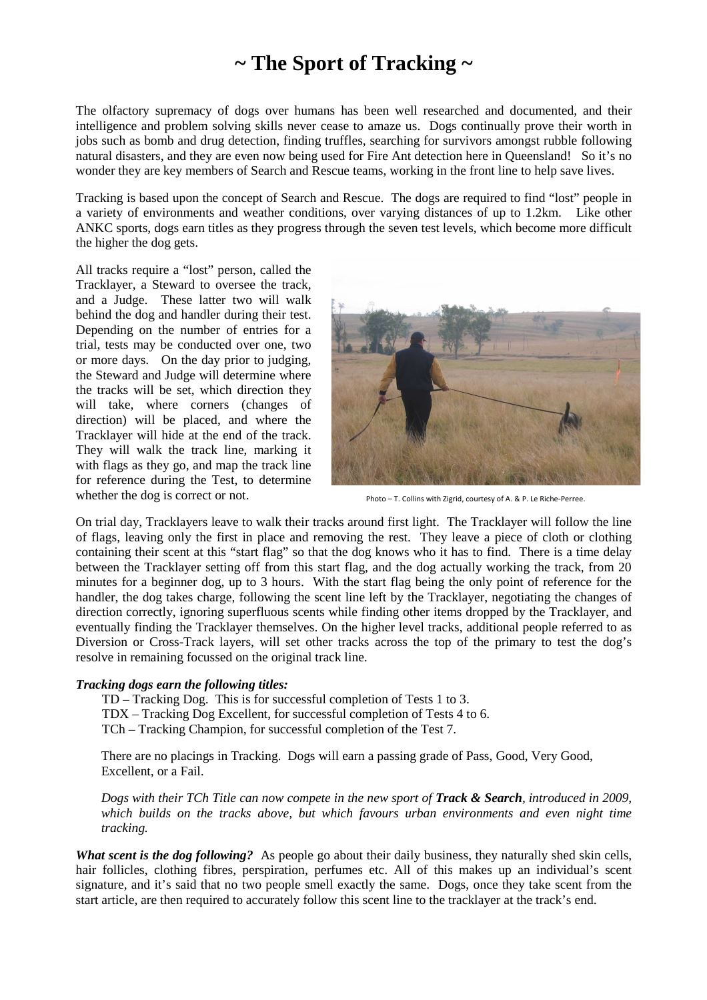## **~ The Sport of Tracking ~**

The olfactory supremacy of dogs over humans has been well researched and documented, and their intelligence and problem solving skills never cease to amaze us. Dogs continually prove their worth in jobs such as bomb and drug detection, finding truffles, searching for survivors amongst rubble following natural disasters, and they are even now being used for Fire Ant detection here in Queensland! So it's no wonder they are key members of Search and Rescue teams, working in the front line to help save lives.

Tracking is based upon the concept of Search and Rescue. The dogs are required to find "lost" people in a variety of environments and weather conditions, over varying distances of up to 1.2km. Like other ANKC sports, dogs earn titles as they progress through the seven test levels, which become more difficult the higher the dog gets.

All tracks require a "lost" person, called the Tracklayer, a Steward to oversee the track, and a Judge. These latter two will walk behind the dog and handler during their test. Depending on the number of entries for a trial, tests may be conducted over one, two or more days. On the day prior to judging, the Steward and Judge will determine where the tracks will be set, which direction they will take, where corners (changes of direction) will be placed, and where the Tracklayer will hide at the end of the track. They will walk the track line, marking it with flags as they go, and map the track line for reference during the Test, to determine whether the dog is correct or not.



Photo – T. Collins with Zigrid, courtesy of A. & P. Le Riche-Perree.

On trial day, Tracklayers leave to walk their tracks around first light. The Tracklayer will follow the line of flags, leaving only the first in place and removing the rest. They leave a piece of cloth or clothing containing their scent at this "start flag" so that the dog knows who it has to find. There is a time delay between the Tracklayer setting off from this start flag, and the dog actually working the track, from 20 minutes for a beginner dog, up to 3 hours. With the start flag being the only point of reference for the handler, the dog takes charge, following the scent line left by the Tracklayer, negotiating the changes of direction correctly, ignoring superfluous scents while finding other items dropped by the Tracklayer, and eventually finding the Tracklayer themselves. On the higher level tracks, additional people referred to as Diversion or Cross-Track layers, will set other tracks across the top of the primary to test the dog's resolve in remaining focussed on the original track line.

## *Tracking dogs earn the following titles:*

 TD – Tracking Dog. This is for successful completion of Tests 1 to 3. TDX – Tracking Dog Excellent, for successful completion of Tests 4 to 6. TCh – Tracking Champion, for successful completion of the Test 7.

There are no placings in Tracking. Dogs will earn a passing grade of Pass, Good, Very Good, Excellent, or a Fail.

*Dogs with their TCh Title can now compete in the new sport of Track & Search, introduced in 2009, which builds on the tracks above, but which favours urban environments and even night time tracking.* 

*What scent is the dog following?* As people go about their daily business, they naturally shed skin cells, hair follicles, clothing fibres, perspiration, perfumes etc. All of this makes up an individual's scent signature, and it's said that no two people smell exactly the same. Dogs, once they take scent from the start article, are then required to accurately follow this scent line to the tracklayer at the track's end.